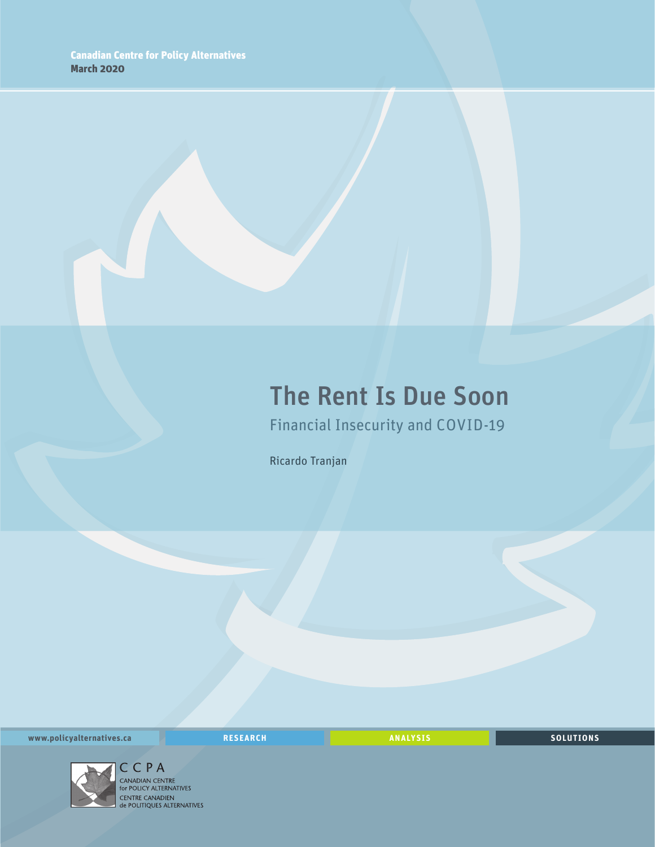## The Rent Is Due Soon

Financial Insecurity and COVID-19

Ricardo Tranjan

**www.policyalternatives.ca** <mark>RESEARCH</mark> ANALYSIS SOLUTIONS



CENTRE CANADIEN<br>
de POLITIQUES ALTERNATIVES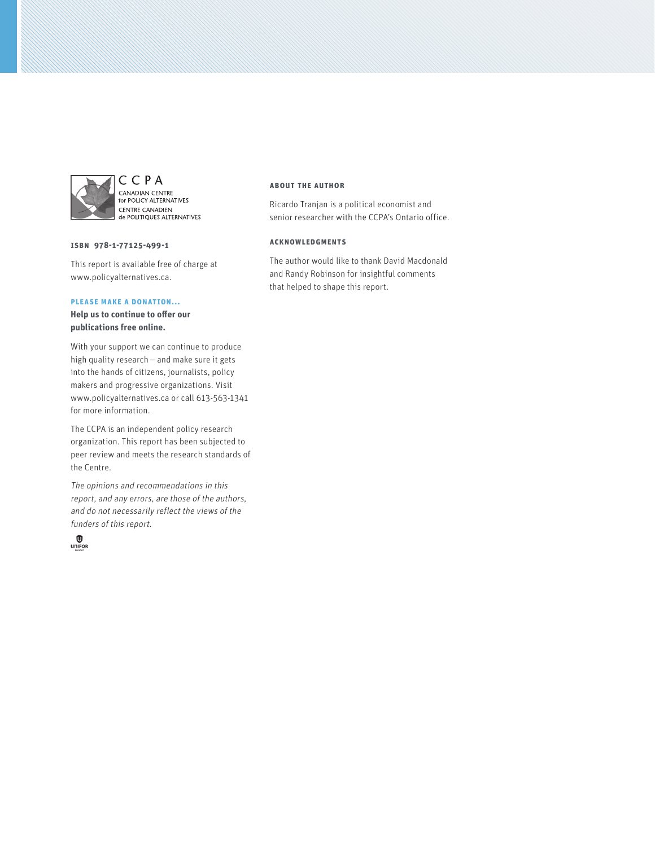

CCPA CANADIAN CENTRE<br>for POLICY ALTERNATIVES CENTRE CANADIEN<br>de POLITIQUES ALTERNATIVES

**ISBN 978-1-77125-499-1**

This report is available free of charge at www.policyalternatives.ca.

#### **Please make a donation...**

**Help us to continue to offer our publications free online.**

With your support we can continue to produce high quality research—and make sure it gets into the hands of citizens, journalists, policy makers and progressive organizations. Visit www.policyalternatives.ca or call 613-563-1341 for more information.

The CCPA is an independent policy research organization. This report has been subjected to peer review and meets the research standards of the Centre.

The opinions and recommendations in this report, and any errors, are those of the authors, and do not necessarily reflect the views of the funders of this report.



#### **About the author**

Ricardo Tranjan is a political economist and senior researcher with the CCPA's Ontario office.

#### **Acknowledgments**

The author would like to thank David Macdonald and Randy Robinson for insightful comments that helped to shape this report.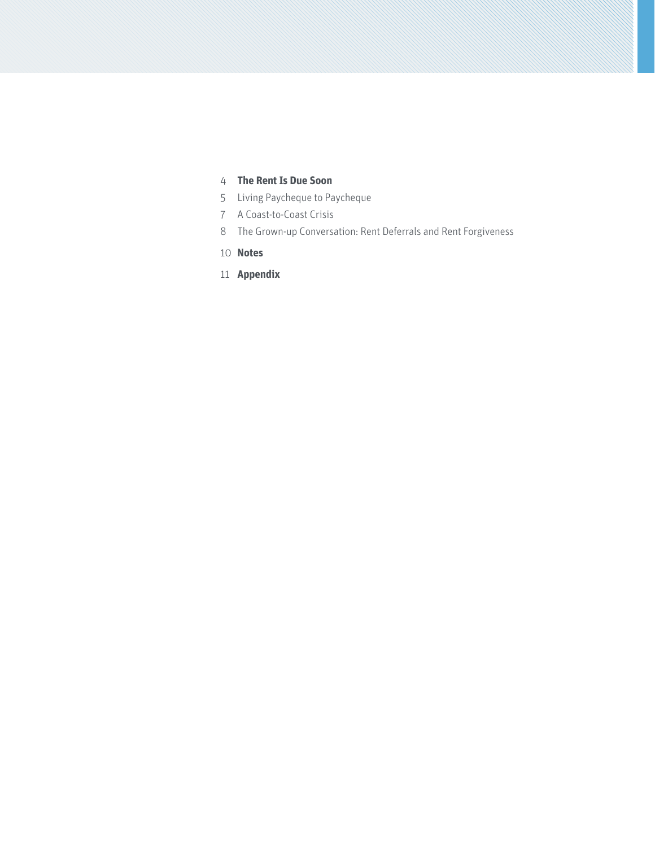### **[The Rent Is Due Soon](#page-3-0)**

- [Living Paycheque to Paycheque](#page-4-0)
- [A Coast-to-Coast Crisis](#page-6-0)
- [The Grown-up Conversation: Rent Deferrals and Rent Forgiveness](#page-7-0)
- **[Notes](#page-9-0)**
- **[Appendix](#page-10-0)**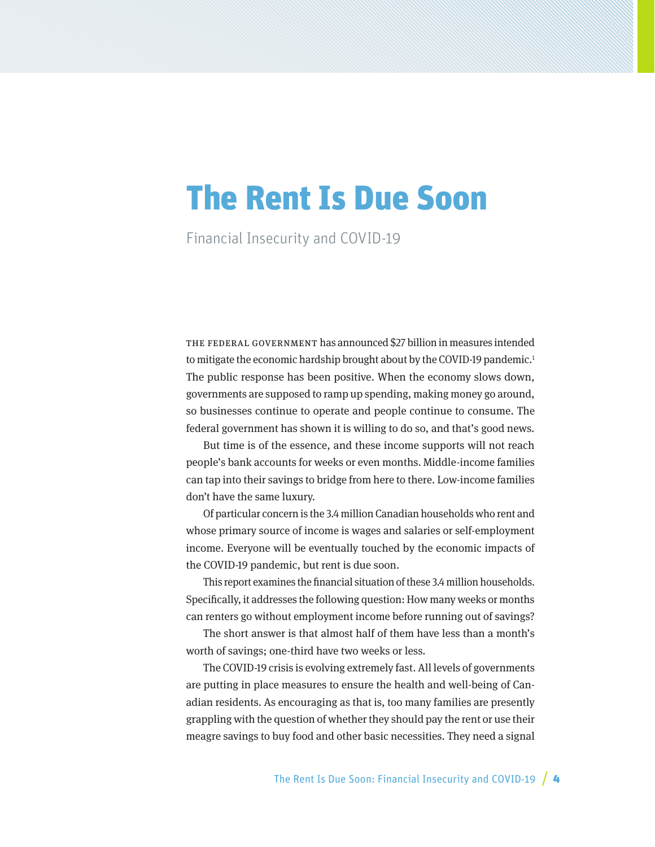# <span id="page-3-0"></span>The Rent Is Due Soon

Financial Insecurity and COVID-19

The federal government has announced \$27 billion in measures intended to mitigate the economic hardship brought about by the COVID-19 pandemic.<sup>1</sup> The public response has been positive. When the economy slows down, governments are supposed to ramp up spending, making money go around, so businesses continue to operate and people continue to consume. The federal government has shown it is willing to do so, and that's good news.

But time is of the essence, and these income supports will not reach people's bank accounts for weeks or even months. Middle-income families can tap into their savings to bridge from here to there. Low-income families don't have the same luxury.

Of particular concern is the 3.4 million Canadian households who rent and whose primary source of income is wages and salaries or self-employment income. Everyone will be eventually touched by the economic impacts of the COVID-19 pandemic, but rent is due soon.

This report examines the financial situation of these 3.4 million households. Specifically, it addresses the following question: How many weeks or months can renters go without employment income before running out of savings?

The short answer is that almost half of them have less than a month's worth of savings; one-third have two weeks or less.

The COVID-19 crisis is evolving extremely fast. All levels of governments are putting in place measures to ensure the health and well-being of Canadian residents. As encouraging as that is, too many families are presently grappling with the question of whether they should pay the rent or use their meagre savings to buy food and other basic necessities. They need a signal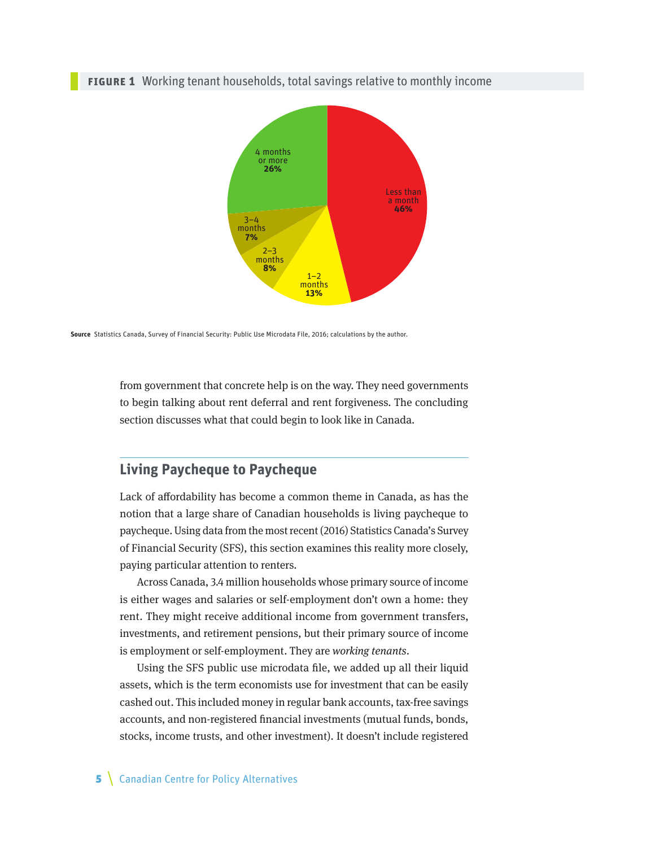#### <span id="page-4-0"></span>**FIGURE 1** Working tenant households, total savings relative to monthly income



**Source** Statistics Canada, Survey of Financial Security: Public Use Microdata File, 2016; calculations by the author.

from government that concrete help is on the way. They need governments to begin talking about rent deferral and rent forgiveness. The concluding section discusses what that could begin to look like in Canada.

#### **Living Paycheque to Paycheque**

Lack of affordability has become a common theme in Canada, as has the notion that a large share of Canadian households is living paycheque to paycheque. Using data from the most recent (2016) Statistics Canada's Survey of Financial Security (SFS), this section examines this reality more closely, paying particular attention to renters.

Across Canada, 3.4 million households whose primary source of income is either wages and salaries or self-employment don't own a home: they rent. They might receive additional income from government transfers, investments, and retirement pensions, but their primary source of income is employment or self-employment. They are working tenants.

Using the SFS public use microdata file, we added up all their liquid assets, which is the term economists use for investment that can be easily cashed out. This included money in regular bank accounts, tax-free savings accounts, and non-registered financial investments (mutual funds, bonds, stocks, income trusts, and other investment). It doesn't include registered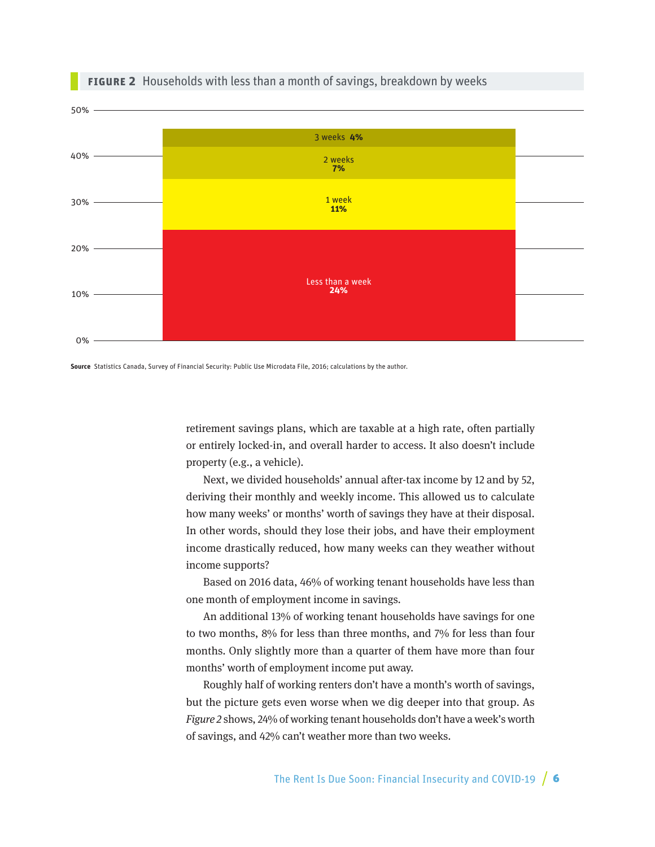

#### **Figure 2** Households with less than a month of savings, breakdown by weeks



retirement savings plans, which are taxable at a high rate, often partially or entirely locked-in, and overall harder to access. It also doesn't include property (e.g., a vehicle).

Next, we divided households' annual after-tax income by 12 and by 52, deriving their monthly and weekly income. This allowed us to calculate how many weeks' or months' worth of savings they have at their disposal. In other words, should they lose their jobs, and have their employment income drastically reduced, how many weeks can they weather without income supports?

Based on 2016 data, 46% of working tenant households have less than one month of employment income in savings.

An additional 13% of working tenant households have savings for one to two months, 8% for less than three months, and 7% for less than four months. Only slightly more than a quarter of them have more than four months' worth of employment income put away.

Roughly half of working renters don't have a month's worth of savings, but the picture gets even worse when we dig deeper into that group. As Figure 2 shows, 24% of working tenant households don't have a week's worth of savings, and 42% can't weather more than two weeks.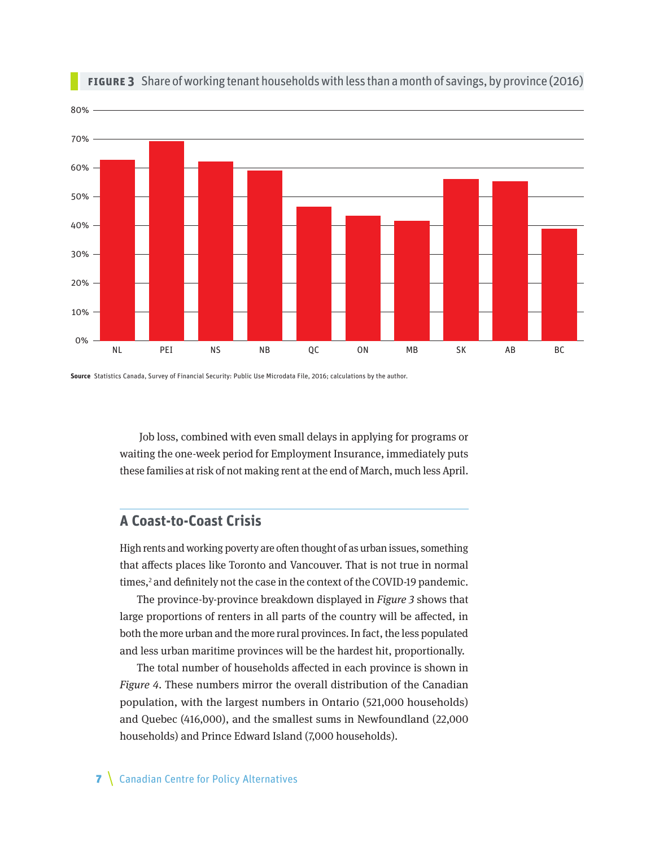<span id="page-6-0"></span>

#### **Figure 3** Share of working tenant households with less than a month of savings, by province (2016)

**Source** Statistics Canada, Survey of Financial Security: Public Use Microdata File, 2016; calculations by the author.

 Job loss, combined with even small delays in applying for programs or waiting the one-week period for Employment Insurance, immediately puts these families at risk of not making rent at the end of March, much less April.

### **A Coast-to-Coast Crisis**

High rents and working poverty are often thought of as urban issues, something that affects places like Toronto and Vancouver. That is not true in normal times,<sup>2</sup> and definitely not the case in the context of the COVID-19 pandemic.

The province-by-province breakdown displayed in Figure 3 shows that large proportions of renters in all parts of the country will be affected, in both the more urban and the more rural provinces. In fact, the less populated and less urban maritime provinces will be the hardest hit, proportionally.

The total number of households affected in each province is shown in Figure 4. These numbers mirror the overall distribution of the Canadian population, with the largest numbers in Ontario (521,000 households) and Quebec (416,000), and the smallest sums in Newfoundland (22,000 households) and Prince Edward Island (7,000 households).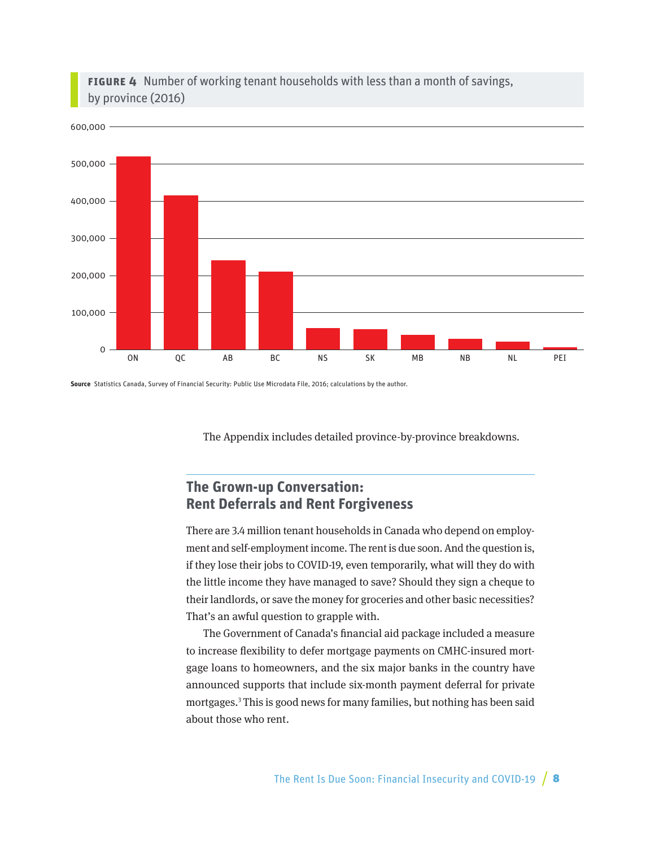<span id="page-7-0"></span>



**Source** Statistics Canada, Survey of Financial Security: Public Use Microdata File, 2016; calculations by the author.

The Appendix includes detailed province-by-province breakdowns.

## **The Grown-up Conversation: Rent Deferrals and Rent Forgiveness**

There are 3.4 million tenant households in Canada who depend on employment and self-employment income. The rent is due soon. And the question is, if they lose their jobs to COVID-19, even temporarily, what will they do with the little income they have managed to save? Should they sign a cheque to their landlords, or save the money for groceries and other basic necessities? That's an awful question to grapple with.

The Government of Canada's financial aid package included a measure to increase flexibility to defer mortgage payments on CMHC-insured mortgage loans to homeowners, and the six major banks in the country have announced supports that include six-month payment deferral for private mortgages.3 This is good news for many families, but nothing has been said about those who rent.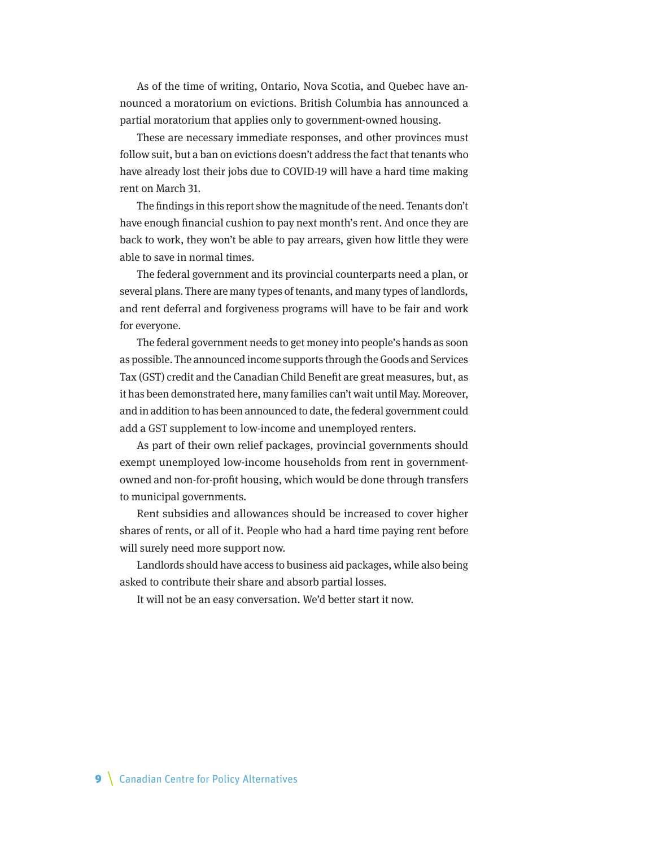As of the time of writing, Ontario, Nova Scotia, and Quebec have announced a moratorium on evictions. British Columbia has announced a partial moratorium that applies only to government-owned housing.

These are necessary immediate responses, and other provinces must follow suit, but a ban on evictions doesn't address the fact that tenants who have already lost their jobs due to COVID-19 will have a hard time making rent on March 31.

The findings in this report show the magnitude of the need. Tenants don't have enough financial cushion to pay next month's rent. And once they are back to work, they won't be able to pay arrears, given how little they were able to save in normal times.

The federal government and its provincial counterparts need a plan, or several plans. There are many types of tenants, and many types of landlords, and rent deferral and forgiveness programs will have to be fair and work for everyone.

The federal government needs to get money into people's hands as soon as possible. The announced income supports through the Goods and Services Tax (GST) credit and the Canadian Child Benefit are great measures, but, as it has been demonstrated here, many families can't wait until May. Moreover, and in addition to has been announced to date, the federal government could add a GST supplement to low-income and unemployed renters.

As part of their own relief packages, provincial governments should exempt unemployed low-income households from rent in governmentowned and non-for-profit housing, which would be done through transfers to municipal governments.

Rent subsidies and allowances should be increased to cover higher shares of rents, or all of it. People who had a hard time paying rent before will surely need more support now.

Landlords should have access to business aid packages, while also being asked to contribute their share and absorb partial losses.

It will not be an easy conversation. We'd better start it now.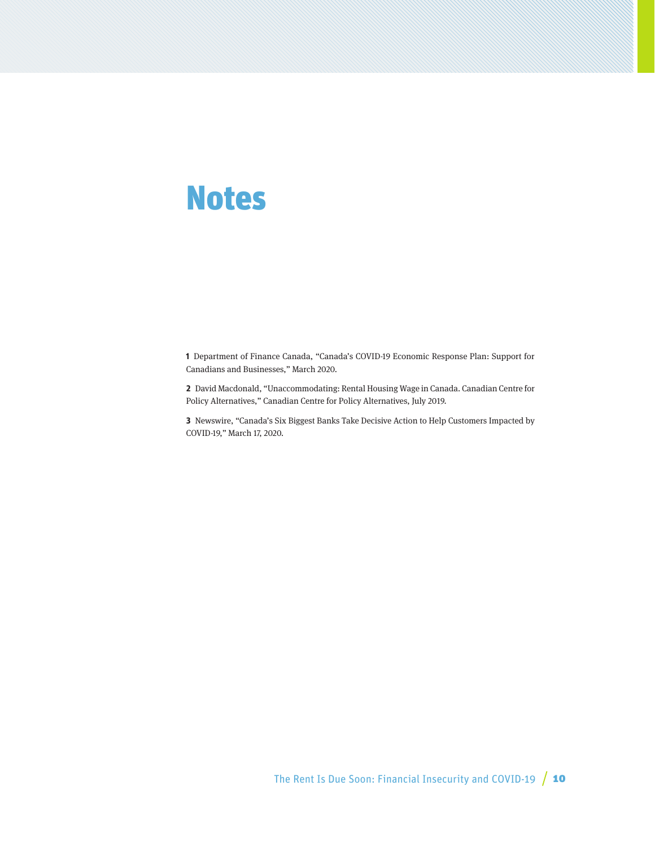## <span id="page-9-0"></span>Notes

**1** Department of Finance Canada, "Canada's COVID-19 Economic Response Plan: Support for Canadians and Businesses," March 2020.

**2** David Macdonald, "Unaccommodating: Rental Housing Wage in Canada. Canadian Centre for Policy Alternatives," Canadian Centre for Policy Alternatives, July 2019.

**3** Newswire, "Canada's Six Biggest Banks Take Decisive Action to Help Customers Impacted by COVID-19," March 17, 2020.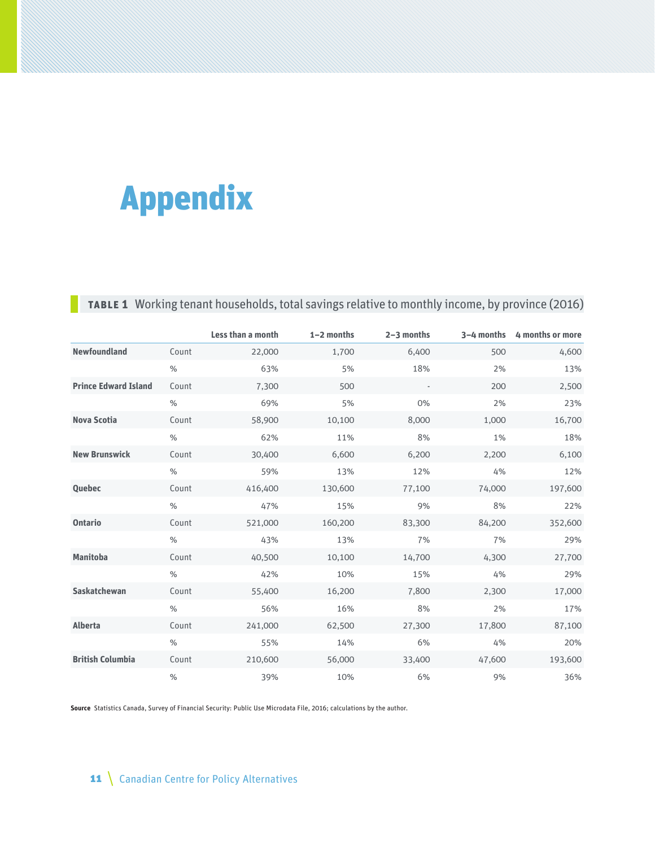# <span id="page-10-0"></span>Appendix

## **Table 1** Working tenant households, total savings relative to monthly income, by province (2016)

|                             |               | Less than a month | 1-2 months | $2 - 3$ months           | $3-4$ months | 4 months or more |
|-----------------------------|---------------|-------------------|------------|--------------------------|--------------|------------------|
| <b>Newfoundland</b>         | Count         | 22,000            | 1,700      | 6,400                    | 500          | 4,600            |
|                             | $\%$          | 63%               | 5%         | 18%                      | 2%           | 13%              |
| <b>Prince Edward Island</b> | Count         | 7,300             | 500        | $\overline{\phantom{a}}$ | 200          | 2,500            |
|                             | $\%$          | 69%               | 5%         | 0%                       | 2%           | 23%              |
| <b>Nova Scotia</b>          | Count         | 58,900            | 10,100     | 8,000                    | 1,000        | 16,700           |
|                             | $\%$          | 62%               | 11%        | 8%                       | 1%           | 18%              |
| <b>New Brunswick</b>        | Count         | 30,400            | 6,600      | 6,200                    | 2,200        | 6,100            |
|                             | $\%$          | 59%               | 13%        | 12%                      | 4%           | 12%              |
| <b>Quebec</b>               | Count         | 416,400           | 130,600    | 77,100                   | 74,000       | 197,600          |
|                             | $\frac{0}{0}$ | 47%               | 15%        | 9%                       | 8%           | 22%              |
| <b>Ontario</b>              | Count         | 521,000           | 160,200    | 83,300                   | 84,200       | 352,600          |
|                             | $\frac{0}{0}$ | 43%               | 13%        | 7%                       | 7%           | 29%              |
| <b>Manitoba</b>             | Count         | 40,500            | 10,100     | 14,700                   | 4,300        | 27,700           |
|                             | $\%$          | 42%               | 10%        | 15%                      | 4%           | 29%              |
| Saskatchewan                | Count         | 55,400            | 16,200     | 7,800                    | 2,300        | 17,000           |
|                             | $\%$          | 56%               | 16%        | 8%                       | 2%           | 17%              |
| <b>Alberta</b>              | Count         | 241,000           | 62,500     | 27,300                   | 17,800       | 87,100           |
|                             | $\frac{0}{0}$ | 55%               | 14%        | 6%                       | 4%           | 20%              |
| <b>British Columbia</b>     | Count         | 210,600           | 56,000     | 33,400                   | 47,600       | 193,600          |
|                             | $\%$          | 39%               | 10%        | 6%                       | 9%           | 36%              |

**Source** Statistics Canada, Survey of Financial Security: Public Use Microdata File, 2016; calculations by the author.

## 11 \ Canadian Centre for Policy Alternatives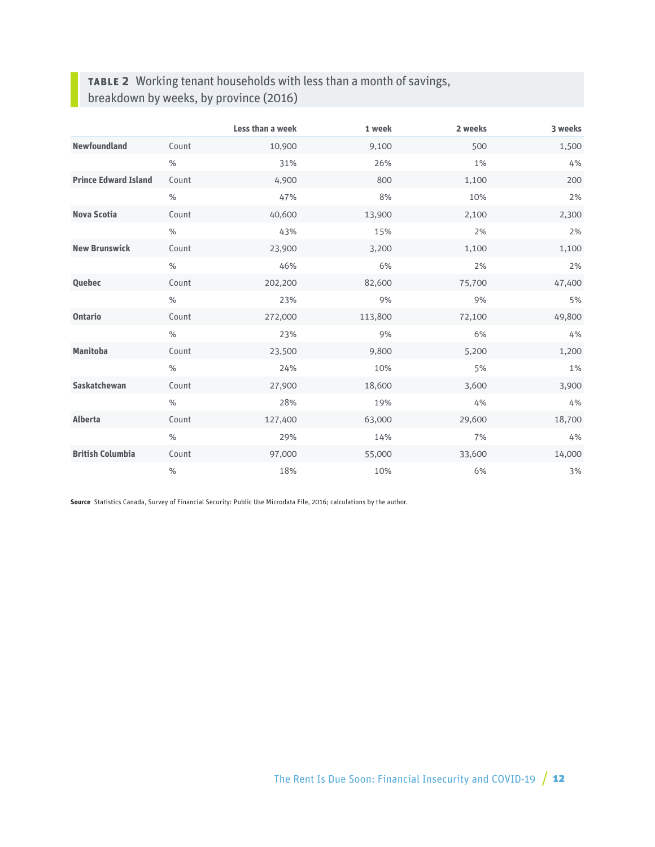## **Table 2** Working tenant households with less than a month of savings, breakdown by weeks, by province (2016)

|                             |       | Less than a week | 1 week  | 2 weeks | 3 weeks |
|-----------------------------|-------|------------------|---------|---------|---------|
| <b>Newfoundland</b>         | Count | 10,900           | 9,100   | 500     | 1,500   |
|                             | $\%$  | 31%              | 26%     | 1%      | 4%      |
| <b>Prince Edward Island</b> | Count | 4,900            | 800     | 1,100   | 200     |
|                             | $\%$  | 47%              | 8%      | 10%     | 2%      |
| <b>Nova Scotia</b>          | Count | 40,600           | 13,900  | 2,100   | 2,300   |
|                             | $\%$  | 43%              | 15%     | 2%      | 2%      |
| <b>New Brunswick</b>        | Count | 23,900           | 3,200   | 1,100   | 1,100   |
|                             | $\%$  | 46%              | 6%      | 2%      | 2%      |
| <b>Quebec</b>               | Count | 202,200          | 82,600  | 75,700  | 47,400  |
|                             | $\%$  | 23%              | 9%      | 9%      | 5%      |
| <b>Ontario</b>              | Count | 272,000          | 113,800 | 72,100  | 49,800  |
|                             | $\%$  | 23%              | 9%      | 6%      | 4%      |
| <b>Manitoba</b>             | Count | 23,500           | 9,800   | 5,200   | 1,200   |
|                             | $\%$  | 24%              | 10%     | 5%      | 1%      |
| <b>Saskatchewan</b>         | Count | 27,900           | 18,600  | 3,600   | 3,900   |
|                             | $\%$  | 28%              | 19%     | 4%      | 4%      |
| <b>Alberta</b>              | Count | 127,400          | 63,000  | 29,600  | 18,700  |
|                             | $\%$  | 29%              | 14%     | 7%      | 4%      |
| <b>British Columbia</b>     | Count | 97,000           | 55,000  | 33,600  | 14,000  |
|                             | $\%$  | 18%              | 10%     | 6%      | 3%      |

**Source** Statistics Canada, Survey of Financial Security: Public Use Microdata File, 2016; calculations by the author.